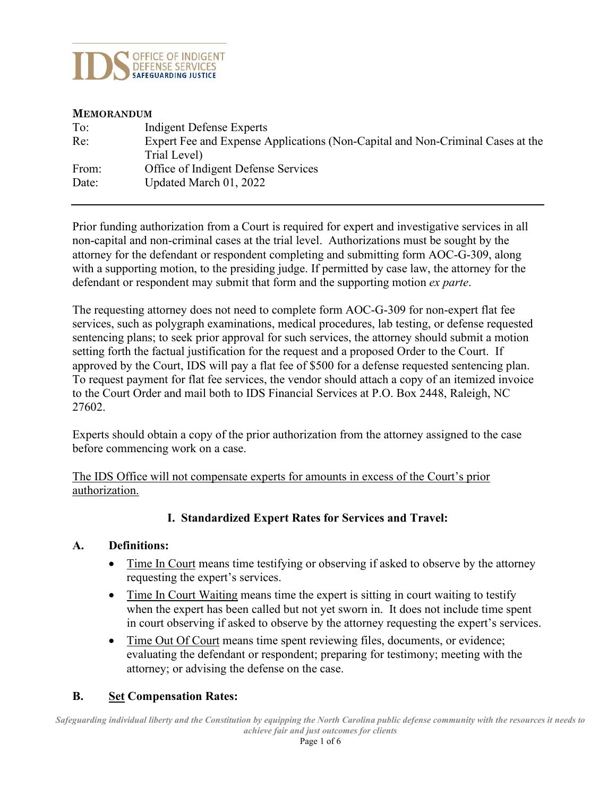

#### **MEMORANDUM**

| To:   | Indigent Defense Experts                                                       |
|-------|--------------------------------------------------------------------------------|
| Re:   | Expert Fee and Expense Applications (Non-Capital and Non-Criminal Cases at the |
|       | Trial Level)                                                                   |
| From: | Office of Indigent Defense Services                                            |
| Date: | Updated March 01, 2022                                                         |
|       |                                                                                |

Prior funding authorization from a Court is required for expert and investigative services in all non-capital and non-criminal cases at the trial level. Authorizations must be sought by the attorney for the defendant or respondent completing and submitting form AOC-G-309, along with a supporting motion, to the presiding judge. If permitted by case law, the attorney for the defendant or respondent may submit that form and the supporting motion *ex parte*.

The requesting attorney does not need to complete form AOC-G-309 for non-expert flat fee services, such as polygraph examinations, medical procedures, lab testing, or defense requested sentencing plans; to seek prior approval for such services, the attorney should submit a motion setting forth the factual justification for the request and a proposed Order to the Court. If approved by the Court, IDS will pay a flat fee of \$500 for a defense requested sentencing plan. To request payment for flat fee services, the vendor should attach a copy of an itemized invoice to the Court Order and mail both to IDS Financial Services at P.O. Box 2448, Raleigh, NC 27602.

Experts should obtain a copy of the prior authorization from the attorney assigned to the case before commencing work on a case.

The IDS Office will not compensate experts for amounts in excess of the Court's prior authorization.

### **I. Standardized Expert Rates for Services and Travel:**

### **A. Definitions:**

- Time In Court means time testifying or observing if asked to observe by the attorney requesting the expert's services.
- Time In Court Waiting means time the expert is sitting in court waiting to testify when the expert has been called but not yet sworn in. It does not include time spent in court observing if asked to observe by the attorney requesting the expert's services.
- Time Out Of Court means time spent reviewing files, documents, or evidence; evaluating the defendant or respondent; preparing for testimony; meeting with the attorney; or advising the defense on the case.

### **B. Set Compensation Rates:**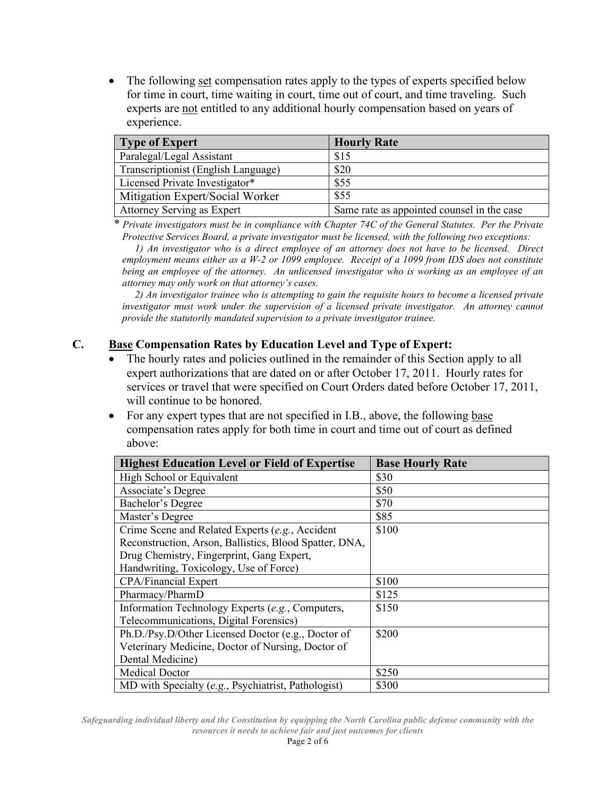• The following set compensation rates apply to the types of experts specified below for time in court, time waiting in court, time out of court, and time traveling. Such experts are not entitled to any additional hourly compensation based on years of experience.

| Type of Expert                      | <b>Hourly Rate</b>                         |
|-------------------------------------|--------------------------------------------|
| Paralegal/Legal Assistant           | \$15                                       |
| Transcriptionist (English Language) | \$20                                       |
| Licensed Private Investigator*      | \$55                                       |
| Mitigation Expert/Social Worker     | \$55                                       |
| Attorney Serving as Expert          | Same rate as appointed counsel in the case |

*\* Private investigators must be in compliance with Chapter 74C of the General Statutes. Per the Private Protective Services Board, a private investigator must be licensed, with the following two exceptions:*

 *1) An investigator who is a direct employee of an attorney does not have to be licensed. Direct employment means either as a W-2 or 1099 employee. Receipt of a 1099 from IDS does not constitute being an employee of the attorney. An unlicensed investigator who is working as an employee of an attorney may only work on that attorney's cases.* 

 *2) An investigator trainee who is attempting to gain the requisite hours to become a licensed private investigator must work under the supervision of a licensed private investigator. An attorney cannot provide the statutorily mandated supervision to a private investigator trainee.*

### **C. Base Compensation Rates by Education Level and Type of Expert:**

- The hourly rates and policies outlined in the remainder of this Section apply to all expert authorizations that are dated on or after October 17, 2011. Hourly rates for services or travel that were specified on Court Orders dated before October 17, 2011, will continue to be honored.
- For any expert types that are not specified in I.B., above, the following base compensation rates apply for both time in court and time out of court as defined above:

| <b>Highest Education Level or Field of Expertise</b>   | <b>Base Hourly Rate</b> |
|--------------------------------------------------------|-------------------------|
| High School or Equivalent                              | \$30                    |
| Associate's Degree                                     | \$50                    |
| Bachelor's Degree                                      | \$70                    |
| Master's Degree                                        | \$85                    |
| Crime Scene and Related Experts (e.g., Accident        | \$100                   |
| Reconstruction, Arson, Ballistics, Blood Spatter, DNA, |                         |
| Drug Chemistry, Fingerprint, Gang Expert,              |                         |
| Handwriting, Toxicology, Use of Force)                 |                         |
| <b>CPA/Financial Expert</b>                            | \$100                   |
| Pharmacy/PharmD                                        | \$125                   |
| Information Technology Experts (e.g., Computers,       | \$150                   |
| Telecommunications, Digital Forensics)                 |                         |
| Ph.D./Psy.D/Other Licensed Doctor (e.g., Doctor of     | \$200                   |
| Veterinary Medicine, Doctor of Nursing, Doctor of      |                         |
| Dental Medicine)                                       |                         |
| <b>Medical Doctor</b>                                  | \$250                   |
| MD with Specialty (e.g., Psychiatrist, Pathologist)    | \$300                   |

*Safeguarding individual liberty and the Constitution by equipping the North Carolina public defense community with the resources it needs to achieve fair and just outcomes for clients*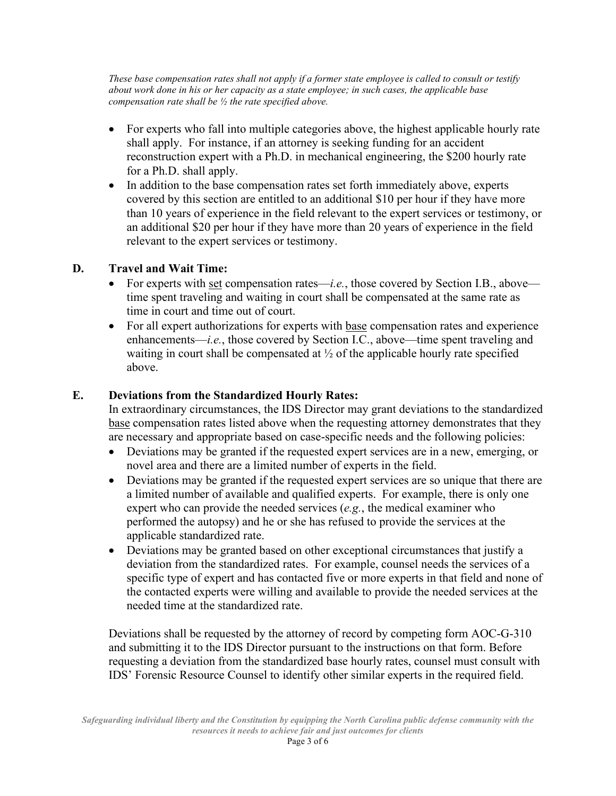*These base compensation rates shall not apply if a former state employee is called to consult or testify about work done in his or her capacity as a state employee; in such cases, the applicable base compensation rate shall be ½ the rate specified above.*

- For experts who fall into multiple categories above, the highest applicable hourly rate shall apply. For instance, if an attorney is seeking funding for an accident reconstruction expert with a Ph.D. in mechanical engineering, the \$200 hourly rate for a Ph.D. shall apply.
- In addition to the base compensation rates set forth immediately above, experts covered by this section are entitled to an additional \$10 per hour if they have more than 10 years of experience in the field relevant to the expert services or testimony, or an additional \$20 per hour if they have more than 20 years of experience in the field relevant to the expert services or testimony.

### **D. Travel and Wait Time:**

- For experts with set compensation rates—*i.e.*, those covered by Section I.B., above time spent traveling and waiting in court shall be compensated at the same rate as time in court and time out of court.
- For all expert authorizations for experts with base compensation rates and experience enhancements—*i.e.*, those covered by Section I.C., above—time spent traveling and waiting in court shall be compensated at  $\frac{1}{2}$  of the applicable hourly rate specified above.

### **E. Deviations from the Standardized Hourly Rates:**

In extraordinary circumstances, the IDS Director may grant deviations to the standardized base compensation rates listed above when the requesting attorney demonstrates that they are necessary and appropriate based on case-specific needs and the following policies:

- Deviations may be granted if the requested expert services are in a new, emerging, or novel area and there are a limited number of experts in the field.
- Deviations may be granted if the requested expert services are so unique that there are a limited number of available and qualified experts. For example, there is only one expert who can provide the needed services (*e.g.*, the medical examiner who performed the autopsy) and he or she has refused to provide the services at the applicable standardized rate.
- Deviations may be granted based on other exceptional circumstances that justify a deviation from the standardized rates. For example, counsel needs the services of a specific type of expert and has contacted five or more experts in that field and none of the contacted experts were willing and available to provide the needed services at the needed time at the standardized rate.

Deviations shall be requested by the attorney of record by competing form AOC-G-310 and submitting it to the IDS Director pursuant to the instructions on that form. Before requesting a deviation from the standardized base hourly rates, counsel must consult with IDS' Forensic Resource Counsel to identify other similar experts in the required field.

*Safeguarding individual liberty and the Constitution by equipping the North Carolina public defense community with the resources it needs to achieve fair and just outcomes for clients*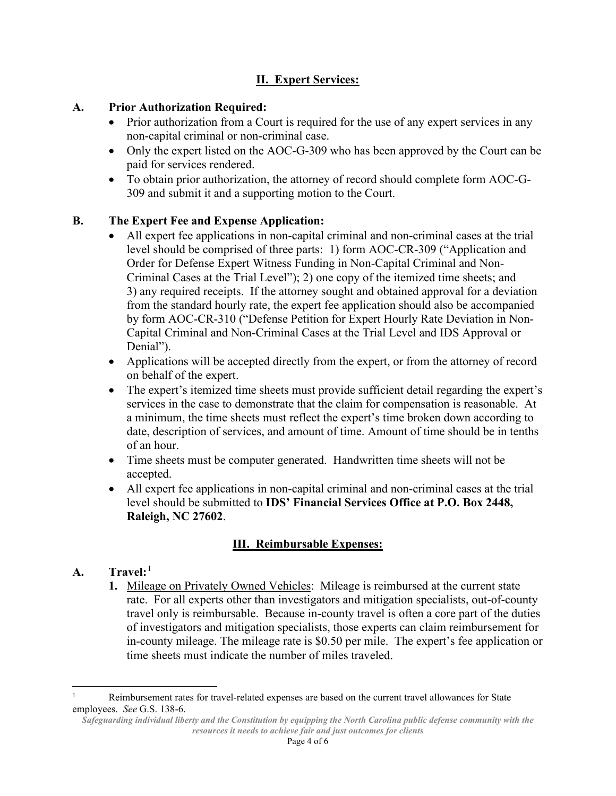# **II. Expert Services:**

# **A. Prior Authorization Required:**

- Prior authorization from a Court is required for the use of any expert services in any non-capital criminal or non-criminal case.
- Only the expert listed on the AOC-G-309 who has been approved by the Court can be paid for services rendered.
- To obtain prior authorization, the attorney of record should complete form AOC-G-309 and submit it and a supporting motion to the Court.

# **B. The Expert Fee and Expense Application:**

- All expert fee applications in non-capital criminal and non-criminal cases at the trial level should be comprised of three parts: 1) form AOC-CR-309 ("Application and Order for Defense Expert Witness Funding in Non-Capital Criminal and Non-Criminal Cases at the Trial Level"); 2) one copy of the itemized time sheets; and 3) any required receipts. If the attorney sought and obtained approval for a deviation from the standard hourly rate, the expert fee application should also be accompanied by form AOC-CR-310 ("Defense Petition for Expert Hourly Rate Deviation in Non-Capital Criminal and Non-Criminal Cases at the Trial Level and IDS Approval or Denial").
- Applications will be accepted directly from the expert, or from the attorney of record on behalf of the expert.
- The expert's itemized time sheets must provide sufficient detail regarding the expert's services in the case to demonstrate that the claim for compensation is reasonable. At a minimum, the time sheets must reflect the expert's time broken down according to date, description of services, and amount of time. Amount of time should be in tenths of an hour.
- Time sheets must be computer generated. Handwritten time sheets will not be accepted.
- All expert fee applications in non-capital criminal and non-criminal cases at the trial level should be submitted to **IDS' Financial Services Office at P.O. Box 2448, Raleigh, NC 27602**.

# **III. Reimbursable Expenses:**

# **A. Travel:**[1](#page-3-0)

**1.** Mileage on Privately Owned Vehicles: Mileage is reimbursed at the current state rate. For all experts other than investigators and mitigation specialists, out-of-county travel only is reimbursable. Because in-county travel is often a core part of the duties of investigators and mitigation specialists, those experts can claim reimbursement for in-county mileage. The mileage rate is \$0.50 per mile. The expert's fee application or time sheets must indicate the number of miles traveled.

<span id="page-3-0"></span>Reimbursement rates for travel-related expenses are based on the current travel allowances for State employees. *See* G.S. 138-6.

*Safeguarding individual liberty and the Constitution by equipping the North Carolina public defense community with the resources it needs to achieve fair and just outcomes for clients*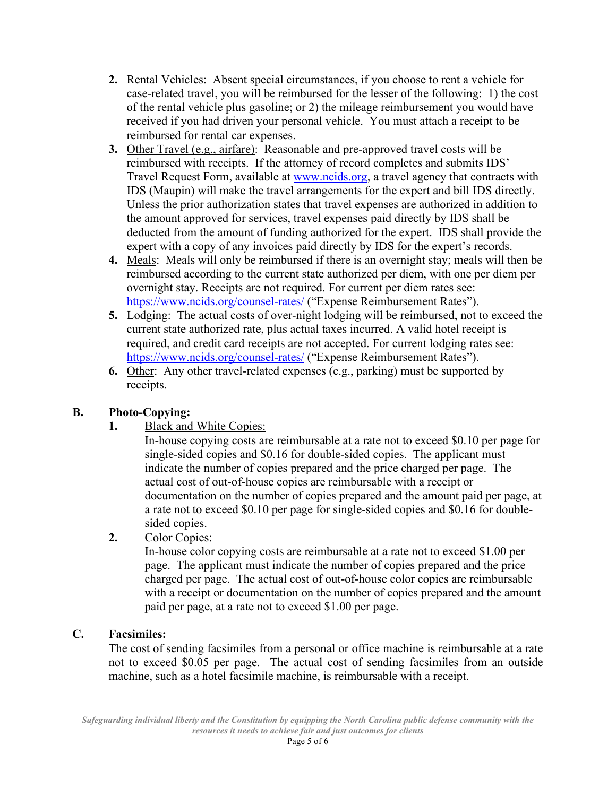- **2.** Rental Vehicles: Absent special circumstances, if you choose to rent a vehicle for case-related travel, you will be reimbursed for the lesser of the following: 1) the cost of the rental vehicle plus gasoline; or 2) the mileage reimbursement you would have received if you had driven your personal vehicle. You must attach a receipt to be reimbursed for rental car expenses.
- **3.** Other Travel (e.g., airfare):Reasonable and pre-approved travel costs will be reimbursed with receipts. If the attorney of record completes and submits IDS' Travel Request Form, available at [www.ncids.org,](http://www.ncids.org/) a travel agency that contracts with IDS (Maupin) will make the travel arrangements for the expert and bill IDS directly. Unless the prior authorization states that travel expenses are authorized in addition to the amount approved for services, travel expenses paid directly by IDS shall be deducted from the amount of funding authorized for the expert. IDS shall provide the expert with a copy of any invoices paid directly by IDS for the expert's records.
- **4.** Meals: Meals will only be reimbursed if there is an overnight stay; meals will then be reimbursed according to the current state authorized per diem, with one per diem per overnight stay. Receipts are not required. For current per diem rates see: <https://www.ncids.org/counsel-rates/> ("Expense Reimbursement Rates").
- **5.** Lodging: The actual costs of over-night lodging will be reimbursed, not to exceed the current state authorized rate, plus actual taxes incurred. A valid hotel receipt is required, and credit card receipts are not accepted. For current lodging rates see: <https://www.ncids.org/counsel-rates/> ("Expense Reimbursement Rates").
- **6.** Other: Any other travel-related expenses (e.g., parking) must be supported by receipts.

# **B. Photo-Copying:**

**1.** Black and White Copies:

In-house copying costs are reimbursable at a rate not to exceed \$0.10 per page for single-sided copies and \$0.16 for double-sided copies. The applicant must indicate the number of copies prepared and the price charged per page. The actual cost of out-of-house copies are reimbursable with a receipt or documentation on the number of copies prepared and the amount paid per page, at a rate not to exceed \$0.10 per page for single-sided copies and \$0.16 for doublesided copies.

**2.** Color Copies:

In-house color copying costs are reimbursable at a rate not to exceed \$1.00 per page. The applicant must indicate the number of copies prepared and the price charged per page. The actual cost of out-of-house color copies are reimbursable with a receipt or documentation on the number of copies prepared and the amount paid per page, at a rate not to exceed \$1.00 per page.

# **C. Facsimiles:**

The cost of sending facsimiles from a personal or office machine is reimbursable at a rate not to exceed \$0.05 per page. The actual cost of sending facsimiles from an outside machine, such as a hotel facsimile machine, is reimbursable with a receipt.